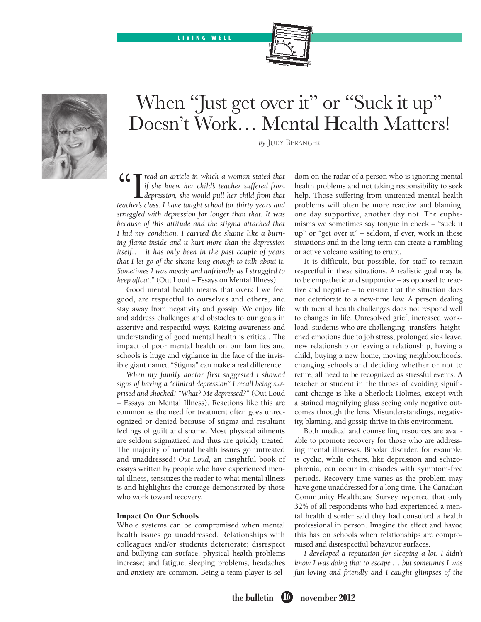LIVING WELL





# When "Just get over it" or "Suck it up" Doesn't Work… Mental Health Matters!

*by* Judy Beranger

 $\mathcal{L}$   $\mathcal{I}$  read an article in which a woman stated that *if she knew her child's teacher suffered from depression, she would pull her child from that teacher's class. I have taught school for thirty years and struggled with depression for longer than that. It was because of this attitude and the stigma attached that I hid my condition. I carried the shame like a burning flame inside and it hurt more than the depression itself… it has only been in the past couple of years that I let go of the shame long enough to talk about it. Sometimes I was moody and unfriendly as I struggled to keep afloat."* (Out Loud – Essays on Mental Illness)

Good mental health means that overall we feel good, are respectful to ourselves and others, and stay away from negativity and gossip. We enjoy life and address challenges and obstacles to our goals in assertive and respectful ways. Raising awareness and understanding of good mental health is critical. The impact of poor mental health on our families and schools is huge and vigilance in the face of the invisible giant named "Stigma" can make a real difference.

*When my family doctor first suggested I showed signs of having a "clinical depression" I recall being surprised and shocked! "What? Me depressed?"* (Out Loud – Essays on Mental Illness). Reactions like this are common as the need for treatment often goes unrecognized or denied because of stigma and resultant feelings of guilt and shame. Most physical ailments are seldom stigmatized and thus are quickly treated. The majority of mental health issues go untreated and unaddressed! *Out Loud*, an insightful book of essays written by people who have experienced mental illness, sensitizes the reader to what mental illness is and highlights the courage demonstrated by those who work toward recovery.

#### Impact On Our Schools

Whole systems can be compromised when mental health issues go unaddressed. Relationships with colleagues and/or students deteriorate; disrespect and bullying can surface; physical health problems increase; and fatigue, sleeping problems, headaches and anxiety are common. Being a team player is seldom on the radar of a person who is ignoring mental health problems and not taking responsibility to seek help. Those suffering from untreated mental health problems will often be more reactive and blaming, one day supportive, another day not. The euphemisms we sometimes say tongue in cheek – "suck it up" or "get over it" – seldom, if ever, work in these situations and in the long term can create a rumbling or active volcano waiting to erupt.

It is difficult, but possible, for staff to remain respectful in these situations. A realistic goal may be to be empathetic and supportive – as opposed to reactive and negative – to ensure that the situation does not deteriorate to a new-time low. A person dealing with mental health challenges does not respond well to changes in life. Unresolved grief, increased workload, students who are challenging, transfers, heightened emotions due to job stress, prolonged sick leave, new relationship or leaving a relationship, having a child, buying a new home, moving neighbourhoods, changing schools and deciding whether or not to retire, all need to be recognized as stressful events. A teacher or student in the throes of avoiding significant change is like a Sherlock Holmes, except with a stained magnifying glass seeing only negative outcomes through the lens. Misunderstandings, negativity, blaming, and gossip thrive in this environment.

Both medical and counselling resources are available to promote recovery for those who are addressing mental illnesses. Bipolar disorder, for example, is cyclic, while others, like depression and schizophrenia, can occur in episodes with symptom-free periods. Recovery time varies as the problem may have gone unaddressed for a long time. The Canadian Community Healthcare Survey reported that only 32% of all respondents who had experienced a mental health disorder said they had consulted a health professional in person. Imagine the effect and havoc this has on schools when relationships are compromised and disrespectful behaviour surfaces.

*I developed a reputation for sleeping a lot. I didn't know I was doing that to escape … but sometimes I was fun-loving and friendly and I caught glimpses of the*